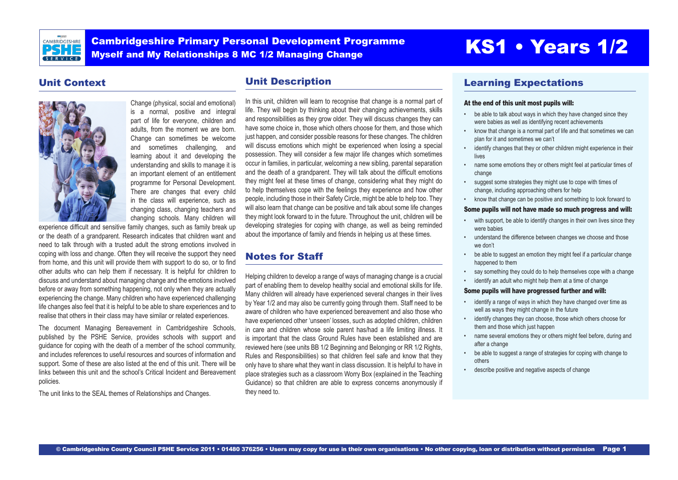

Cambridgeshire Primary Personal Development Programme Cambridgeshire Primary Personal Development Programme<br>Myself and My Relationships 8 MC 1/2 Managing Change<br>
Myself and My Relationships 8 MC 1/2 Managing Change

## Unit Context



Change (physical, social and emotional) is a normal, positive and integral part of life for everyone, children and adults, from the moment we are born. Change can sometimes be welcome and sometimes challenging, and learning about it and developing the understanding and skills to manage it is an important element of an entitlement programme for Personal Development. There are changes that every child in the class will experience, such as changing class, changing teachers and changing schools. Many children will

experience difficult and sensitive family changes, such as family break up or the death of a grandparent. Research indicates that children want and need to talk through with a trusted adult the strong emotions involved in coping with loss and change. Often they will receive the support they need from home, and this unit will provide them with support to do so, or to find other adults who can help them if necessary. It is helpful for children to discuss and understand about managing change and the emotions involved before or away from something happening, not only when they are actually experiencing the change. Many children who have experienced challenging life changes also feel that it is helpful to be able to share experiences and to realise that others in their class may have similar or related experiences.

The document Managing Bereavement in Cambridgeshire Schools, published by the PSHE Service, provides schools with support and guidance for coping with the death of a member of the school community, and includes references to useful resources and sources of information and support. Some of these are also listed at the end of this unit. There will be links between this unit and the school's Critical Incident and Bereavement policies.

The unit links to the SEAL themes of Relationships and Changes.

## Unit Description

In this unit, children will learn to recognise that change is a normal part of life. They will begin by thinking about their changing achievements, skills and responsibilities as they grow older. They will discuss changes they can have some choice in, those which others choose for them, and those which just happen, and consider possible reasons for these changes. The children will discuss emotions which might be experienced when losing a special possession. They will consider a few major life changes which sometimes occur in families, in particular, welcoming a new sibling, parental separation and the death of a grandparent. They will talk about the difficult emotions they might feel at these times of change, considering what they might do to help themselves cope with the feelings they experience and how other people, including those in their Safety Circle, might be able to help too. They will also learn that change can be positive and talk about some life changes they might look forward to in the future. Throughout the unit, children will be developing strategies for coping with change, as well as being reminded about the importance of family and friends in helping us at these times.

## Notes for Staff

Helping children to develop a range of ways of managing change is a crucial part of enabling them to develop healthy social and emotional skills for life. Many children will already have experienced several changes in their lives by Year 1/2 and may also be currently going through them. Staff need to be aware of children who have experienced bereavement and also those who have experienced other 'unseen' losses, such as adopted children, children in care and children whose sole parent has/had a life limiting illness. It is important that the class Ground Rules have been established and are reviewed here (see units BB 1/2 Beginning and Belonging or RR 1/2 Rights, Rules and Responsibilities) so that children feel safe and know that they only have to share what they want in class discussion. It is helpful to have in place strategies such as a classroom Worry Box (explained in the Teaching Guidance) so that children are able to express concerns anonymously if they need to.

## Learning Expectations

#### At the end of this unit most pupils will:

- be able to talk about ways in which they have changed since they were babies as well as identifying recent achievements
- know that change is a normal part of life and that sometimes we can plan for it and sometimes we can't
- identify changes that they or other children might experience in their lives
- name some emotions they or others might feel at particular times of change
- suggest some strategies they might use to cope with times of change, including approaching others for help
- know that change can be positive and something to look forward to

#### Some pupils will not have made so much progress and will:

- with support, be able to identify changes in their own lives since they were babies
- understand the difference between changes we choose and those we don't
- be able to suggest an emotion they might feel if a particular change happened to them
- say something they could do to help themselves cope with a change
- identify an adult who might help them at a time of change

#### Some pupils will have progressed further and will:

- identify a range of ways in which they have changed over time as well as ways they might change in the future
- identify changes they can choose, those which others choose for them and those which just happen
- name several emotions they or others might feel before, during and after a change
- be able to suggest a range of strategies for coping with change to others
- describe positive and negative aspects of change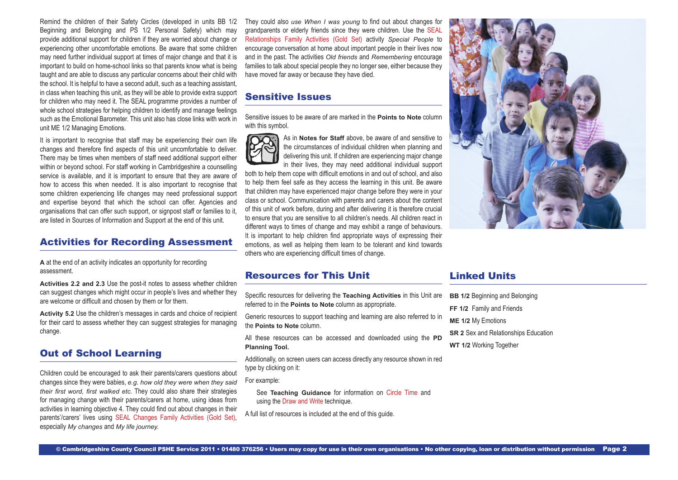Remind the children of their Safety Circles (developed in units BB 1/2 Beginning and Belonging and PS 1/2 Personal Safety) which may provide additional support for children if they are worried about change or experiencing other uncomfortable emotions. Be aware that some children may need further individual support at times of major change and that it is important to build on home-school links so that parents know what is being taught and are able to discuss any particular concerns about their child with the school. It is helpful to have a second adult, such as a teaching assistant, in class when teaching this unit, as they will be able to provide extra support for children who may need it. The SEAL programme provides a number of whole school strategies for helping children to identify and manage feelings such as the Emotional Barometer. This unit also has close links with work in unit ME 1/2 Managing Emotions.

It is important to recognise that staff may be experiencing their own life changes and therefore find aspects of this unit uncomfortable to deliver. There may be times when members of staff need additional support either within or beyond school. For staff working in Cambridgeshire a counselling service is available, and it is important to ensure that they are aware of how to access this when needed. It is also important to recognise that some children experiencing life changes may need professional support and expertise beyond that which the school can offer. Agencies and organisations that can offer such support, or signpost staff or families to it, are listed in Sources of Information and Support at the end of this unit.

## Activities for Recording Assessment

**A** at the end of an activity indicates an opportunity for recording assessment.

**Activities 2.2 and 2.3** Use the post-it notes to assess whether children can suggest changes which might occur in people's lives and whether they are welcome or difficult and chosen by them or for them.

**Activity 5.2** Use the children's messages in cards and choice of recipient for their card to assess whether they can suggest strategies for managing change.

## Out of School Learning

Children could be encouraged to ask their parents/carers questions about changes since they were babies, *e.g. how old they were when they said their first word, first walked etc.* They could also share their strategies for managing change with their parents/carers at home, using ideas from activities in learning objective 4. They could find out about changes in their parents'/carers' lives using [SEAL Changes Family Activities \(Gold Set\),](http://www.j9solutions.co.uk/pshe/NDChangesFamilyActivities.pdf) especially *My changes* and *My life journey.* 

They could also *use When I was young* to find out about changes for grandparents or elderly friends since they were children. Use the [SEAL](http://www.j9solutions.co.uk/pshe/NDChangesFamilyActivities.pdf) [Relationships Family Activities \(Gold Set\)](http://www.j9solutions.co.uk/pshe/NDChangesFamilyActivities.pdf) activity *Special People* to encourage conversation at home about important people in their lives now and in the past. The activities *Old friends* and *Remembering* encourage families to talk about special people they no longer see, either because they have moved far away or because they have died.

## Sensitive Issues

Sensitive issues to be aware of are marked in the **Points to Note** column with this symbol.



As in **Notes for Staff** above, be aware of and sensitive to the circumstances of individual children when planning and delivering this unit. If children are experiencing major change in their lives, they may need additional individual support

both to help them cope with difficult emotions in and out of school, and also to help them feel safe as they access the learning in this unit. Be aware that children may have experienced major change before they were in your class or school. Communication with parents and carers about the content of this unit of work before, during and after delivering it is therefore crucial to ensure that you are sensitive to all children's needs. All children react in different ways to times of change and may exhibit a range of behaviours. It is important to help children find appropriate ways of expressing their emotions, as well as helping them learn to be tolerant and kind towards others who are experiencing difficult times of change.



## Resources for This Unit

Specific resources for delivering the **Teaching Activities** in this Unit are referred to in the **Points to Note** column as appropriate.

Generic resources to support teaching and learning are also referred to in the **Points to Note** column.

All these resources can be accessed and downloaded using the **PD Planning Tool.**

Additionally, on screen users can access directly any resource shown in red type by clicking on it:

For example:

See **Teaching Guidance** for information on Circle Time and using the Draw and Write technique.

A full list of resources is included at the end of this guide.

## Linked Units

- **BB 1/2 Beginning and Belonging**
- **FF 1/2** Family and Friends
- **ME 1/2** My Emotions
- **SR 2** Sex and Relationships Education
- **WT 1/2** Working Together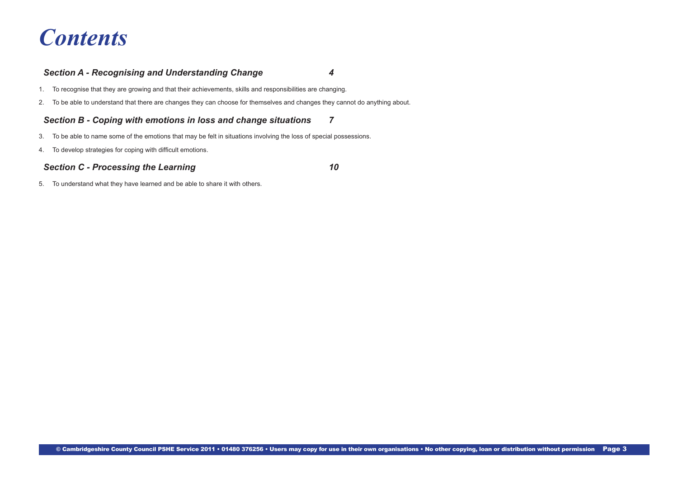# *Contents*

## *[Section A - Recognising and Understanding Change 4](#page-3-0)*

- [1. To recognise that they are growing and that their achievements, skills and responsibilities are changing.](#page-3-0)
- [2. To be able to understand that there are changes they can choose for themselves and changes they cannot do anything about.](#page-4-0)

## *[Section B - Coping with emotions in loss and change situations](#page-6-0) 7*

- [3. To be able to name some of the emotions that may be felt in situations involving the loss of special possessions.](#page-6-0)
- [4. To develop strategies for coping with difficult emotions](#page-7-0).

## *[Section C - Processing the Learning 10](#page-9-0)*

[5. To understand what they have learned and be able to share it with others.](#page-9-0)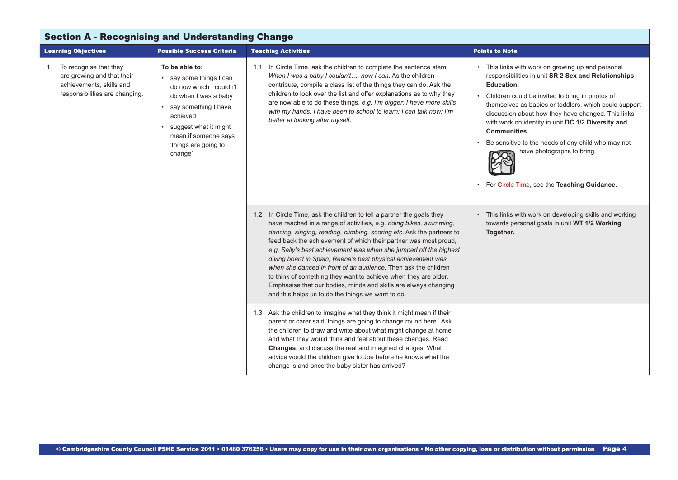<span id="page-3-0"></span>

| <b>Section A - Recognising and Understanding Change</b>                                                               |                                                                                                                                                                                                                        |                                                                                                                                                                                                                                                                                                                                                                                                                                                                                                                                                                                                                                                                                             |                                                                                                                                                                                                                                                                                                                                                                                                                                                                                                          |  |
|-----------------------------------------------------------------------------------------------------------------------|------------------------------------------------------------------------------------------------------------------------------------------------------------------------------------------------------------------------|---------------------------------------------------------------------------------------------------------------------------------------------------------------------------------------------------------------------------------------------------------------------------------------------------------------------------------------------------------------------------------------------------------------------------------------------------------------------------------------------------------------------------------------------------------------------------------------------------------------------------------------------------------------------------------------------|----------------------------------------------------------------------------------------------------------------------------------------------------------------------------------------------------------------------------------------------------------------------------------------------------------------------------------------------------------------------------------------------------------------------------------------------------------------------------------------------------------|--|
| <b>Learning Objectives</b>                                                                                            | <b>Possible Success Criteria</b>                                                                                                                                                                                       | <b>Teaching Activities</b>                                                                                                                                                                                                                                                                                                                                                                                                                                                                                                                                                                                                                                                                  | <b>Points to Note</b>                                                                                                                                                                                                                                                                                                                                                                                                                                                                                    |  |
| 1. To recognise that they<br>are growing and that their<br>achievements, skills and<br>responsibilities are changing. | To be able to:<br>• say some things I can<br>do now which I couldn't<br>do when I was a baby<br>• say something I have<br>achieved<br>suggest what it might<br>mean if someone says<br>'things are going to<br>change' | 1.1 In Circle Time, ask the children to complete the sentence stem,<br>When I was a baby I couldn't, now I can. As the children<br>contribute, compile a class list of the things they can do. Ask the<br>children to look over the list and offer explanations as to why they<br>are now able to do these things, e.g. I'm bigger; I have more skills<br>with my hands; I have been to school to learn; I can talk now; I'm<br>better at looking after myself.                                                                                                                                                                                                                             | • This links with work on growing up and personal<br>responsibilities in unit SR 2 Sex and Relationships<br>Education.<br>Children could be invited to bring in photos of<br>themselves as babies or toddlers, which could support<br>discussion about how they have changed. This links<br>with work on identity in unit DC 1/2 Diversity and<br><b>Communities.</b><br>Be sensitive to the needs of any child who may not<br>have photographs to bring.<br>For Circle Time, see the Teaching Guidance. |  |
|                                                                                                                       |                                                                                                                                                                                                                        | 1.2 In Circle Time, ask the children to tell a partner the goals they<br>have reached in a range of activities, e.g. riding bikes, swimming,<br>dancing, singing, reading, climbing, scoring etc. Ask the partners to<br>feed back the achievement of which their partner was most proud,<br>e.g. Sally's best achievement was when she jumped off the highest<br>diving board in Spain; Reena's best physical achievement was<br>when she danced in front of an audience. Then ask the children<br>to think of something they want to achieve when they are older.<br>Emphasise that our bodies, minds and skills are always changing<br>and this helps us to do the things we want to do. | This links with work on developing skills and working<br>towards personal goals in unit WT 1/2 Working<br>Together.                                                                                                                                                                                                                                                                                                                                                                                      |  |
|                                                                                                                       |                                                                                                                                                                                                                        | 1.3 Ask the children to imagine what they think it might mean if their<br>parent or carer said 'things are going to change round here.' Ask<br>the children to draw and write about what might change at home<br>and what they would think and feel about these changes. Read<br><b>Changes, and discuss the real and imagined changes. What</b><br>advice would the children give to Joe before he knows what the<br>change is and once the baby sister has arrived?                                                                                                                                                                                                                       |                                                                                                                                                                                                                                                                                                                                                                                                                                                                                                          |  |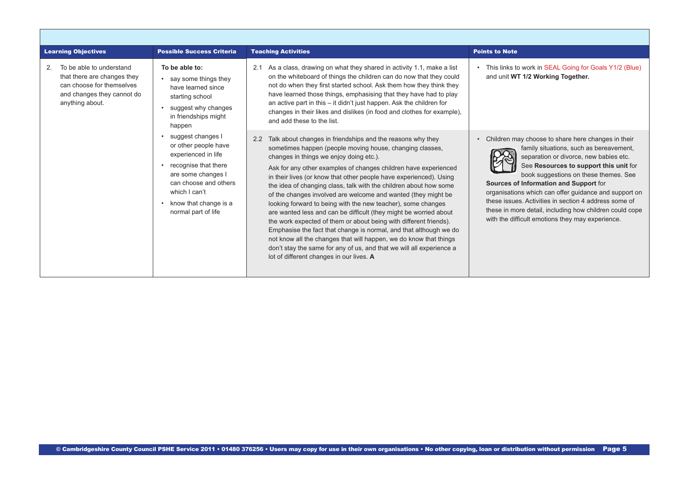<span id="page-4-0"></span>

| <b>Learning Objectives</b>                                                                                                                  | <b>Possible Success Criteria</b>                                                                                                                                                                         | <b>Teaching Activities</b>                                                                                                                                                                                                                                                                                                                                                                                                                                                                                                                                                                                                                                                                                                                                                                                                                                                                                                      | <b>Points to Note</b>                                                                                                                                                                                                                                                                                                                                                                                                                                                                                 |  |
|---------------------------------------------------------------------------------------------------------------------------------------------|----------------------------------------------------------------------------------------------------------------------------------------------------------------------------------------------------------|---------------------------------------------------------------------------------------------------------------------------------------------------------------------------------------------------------------------------------------------------------------------------------------------------------------------------------------------------------------------------------------------------------------------------------------------------------------------------------------------------------------------------------------------------------------------------------------------------------------------------------------------------------------------------------------------------------------------------------------------------------------------------------------------------------------------------------------------------------------------------------------------------------------------------------|-------------------------------------------------------------------------------------------------------------------------------------------------------------------------------------------------------------------------------------------------------------------------------------------------------------------------------------------------------------------------------------------------------------------------------------------------------------------------------------------------------|--|
| To be able to understand<br>2.<br>that there are changes they<br>can choose for themselves<br>and changes they cannot do<br>anything about. | To be able to:<br>say some things they<br>have learned since<br>starting school<br>suggest why changes<br>in friendships might<br>happen                                                                 | As a class, drawing on what they shared in activity 1.1, make a list<br>2.1<br>on the whiteboard of things the children can do now that they could<br>not do when they first started school. Ask them how they think they<br>have learned those things, emphasising that they have had to play<br>an active part in this - it didn't just happen. Ask the children for<br>changes in their likes and dislikes (in food and clothes for example).<br>and add these to the list.                                                                                                                                                                                                                                                                                                                                                                                                                                                  | This links to work in SEAL Going for Goals Y1/2 (Blue)<br>and unit WT 1/2 Working Together.                                                                                                                                                                                                                                                                                                                                                                                                           |  |
|                                                                                                                                             | suggest changes I<br>or other people have<br>experienced in life<br>recognise that there<br>are some changes I<br>can choose and others<br>which I can't<br>know that change is a<br>normal part of life | Talk about changes in friendships and the reasons why they<br>2.2<br>sometimes happen (people moving house, changing classes,<br>changes in things we enjoy doing etc.).<br>Ask for any other examples of changes children have experienced<br>in their lives (or know that other people have experienced). Using<br>the idea of changing class, talk with the children about how some<br>of the changes involved are welcome and wanted (they might be<br>looking forward to being with the new teacher), some changes<br>are wanted less and can be difficult (they might be worried about<br>the work expected of them or about being with different friends).<br>Emphasise the fact that change is normal, and that although we do<br>not know all the changes that will happen, we do know that things<br>don't stay the same for any of us, and that we will all experience a<br>lot of different changes in our lives. A | Children may choose to share here changes in their<br>family situations, such as bereavement,<br>separation or divorce, new babies etc.<br>See Resources to support this unit for<br>book suggestions on these themes. See<br>Sources of Information and Support for<br>organisations which can offer guidance and support on<br>these issues. Activities in section 4 address some of<br>these in more detail, including how children could cope<br>with the difficult emotions they may experience. |  |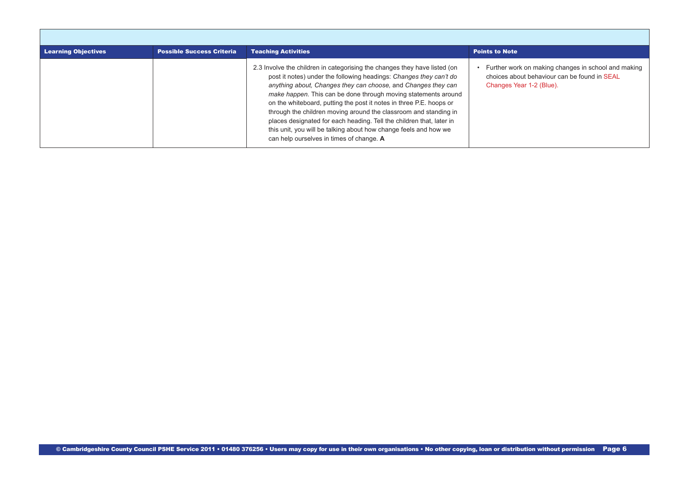| <b>Learning Objectives</b> | <b>Possible Success Criteria</b> | <b>Teaching Activities</b>                                                                                                                                                                                                                                                                                                                                                                                                                                                                                                                                                                                            | <b>Points to Note</b>                                                                                                           |
|----------------------------|----------------------------------|-----------------------------------------------------------------------------------------------------------------------------------------------------------------------------------------------------------------------------------------------------------------------------------------------------------------------------------------------------------------------------------------------------------------------------------------------------------------------------------------------------------------------------------------------------------------------------------------------------------------------|---------------------------------------------------------------------------------------------------------------------------------|
|                            |                                  | 2.3 Involve the children in categorising the changes they have listed (on<br>post it notes) under the following headings: Changes they can't do<br>anything about, Changes they can choose, and Changes they can<br>make happen. This can be done through moving statements around<br>on the whiteboard, putting the post it notes in three P.E. hoops or<br>through the children moving around the classroom and standing in<br>places designated for each heading. Tell the children that, later in<br>this unit, you will be talking about how change feels and how we<br>can help ourselves in times of change. A | Further work on making changes in school and making<br>choices about behaviour can be found in SEAL<br>Changes Year 1-2 (Blue). |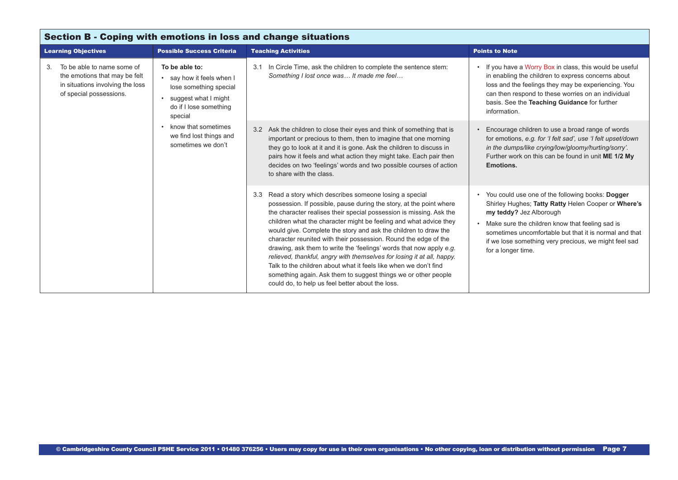<span id="page-6-0"></span>

| <b>Section B - Coping with emotions in loss and change situations</b>                                                            |                                                                                                                                                                                                                         |                                                                                                                                                                                                                                                                                                                                                                                                                                                                                                                                                                                                                                                                                                                                                                  |                                                                                                                                                                                                                                                                                                                                |  |
|----------------------------------------------------------------------------------------------------------------------------------|-------------------------------------------------------------------------------------------------------------------------------------------------------------------------------------------------------------------------|------------------------------------------------------------------------------------------------------------------------------------------------------------------------------------------------------------------------------------------------------------------------------------------------------------------------------------------------------------------------------------------------------------------------------------------------------------------------------------------------------------------------------------------------------------------------------------------------------------------------------------------------------------------------------------------------------------------------------------------------------------------|--------------------------------------------------------------------------------------------------------------------------------------------------------------------------------------------------------------------------------------------------------------------------------------------------------------------------------|--|
| <b>Learning Objectives</b>                                                                                                       | <b>Possible Success Criteria</b>                                                                                                                                                                                        | <b>Teaching Activities</b>                                                                                                                                                                                                                                                                                                                                                                                                                                                                                                                                                                                                                                                                                                                                       | <b>Points to Note</b>                                                                                                                                                                                                                                                                                                          |  |
| To be able to name some of<br>3.<br>the emotions that may be felt<br>in situations involving the loss<br>of special possessions. | To be able to:<br>• say how it feels when I<br>lose something special<br>suggest what I might<br>$\bullet$<br>do if I lose something<br>special<br>know that sometimes<br>we find lost things and<br>sometimes we don't | In Circle Time, ask the children to complete the sentence stem:<br>3.1<br>Something I lost once was It made me feel                                                                                                                                                                                                                                                                                                                                                                                                                                                                                                                                                                                                                                              | If you have a Worry Box in class, this would be useful<br>in enabling the children to express concerns about<br>loss and the feelings they may be experiencing. You<br>can then respond to these worries on an individual<br>basis. See the Teaching Guidance for further<br>information.                                      |  |
|                                                                                                                                  |                                                                                                                                                                                                                         | Ask the children to close their eyes and think of something that is<br>3.2<br>important or precious to them, then to imagine that one morning<br>they go to look at it and it is gone. Ask the children to discuss in<br>pairs how it feels and what action they might take. Each pair then<br>decides on two 'feelings' words and two possible courses of action<br>to share with the class.                                                                                                                                                                                                                                                                                                                                                                    | Encourage children to use a broad range of words<br>for emotions, e.g. for 'I felt sad', use 'I felt upset/down<br>in the dumps/like crying/low/gloomy/hurting/sorry'.<br>Further work on this can be found in unit ME 1/2 My<br>Emotions.                                                                                     |  |
|                                                                                                                                  |                                                                                                                                                                                                                         | Read a story which describes someone losing a special<br>3.3<br>possession. If possible, pause during the story, at the point where<br>the character realises their special possession is missing. Ask the<br>children what the character might be feeling and what advice they<br>would give. Complete the story and ask the children to draw the<br>character reunited with their possession. Round the edge of the<br>drawing, ask them to write the 'feelings' words that now apply e.g.<br>relieved, thankful, angry with themselves for losing it at all, happy.<br>Talk to the children about what it feels like when we don't find<br>something again. Ask them to suggest things we or other people<br>could do, to help us feel better about the loss. | You could use one of the following books: Dogger<br>Shirley Hughes; Tatty Ratty Helen Cooper or Where's<br>my teddy? Jez Alborough<br>Make sure the children know that feeling sad is<br>sometimes uncomfortable but that it is normal and that<br>if we lose something very precious, we might feel sad<br>for a longer time. |  |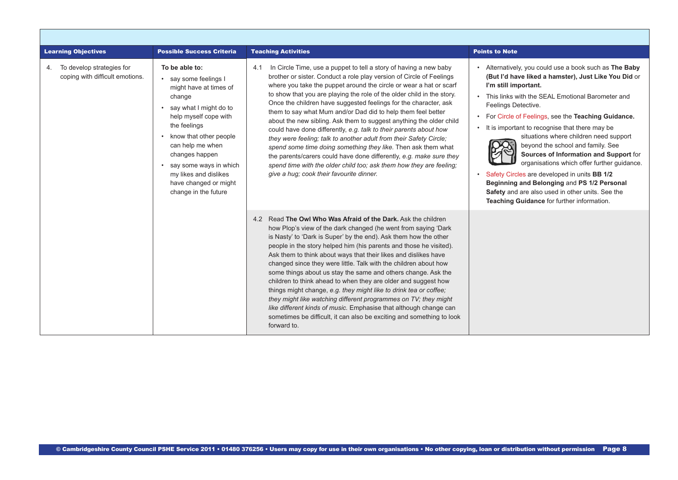<span id="page-7-0"></span>

| <b>Learning Objectives</b>                                         | <b>Possible Success Criteria</b>                                                                                                                                                                                                                                                                                     | <b>Teaching Activities</b>                                                                                                                                                                                                                                                                                                                                                                                                                                                                                                                                                                                                                                                                                                                                                                                                                                                                                        | <b>Points to Note</b>                                                                                                                                                                                                                                                                                                                                                                                                                                                                                                                                                                                                                                                                            |  |
|--------------------------------------------------------------------|----------------------------------------------------------------------------------------------------------------------------------------------------------------------------------------------------------------------------------------------------------------------------------------------------------------------|-------------------------------------------------------------------------------------------------------------------------------------------------------------------------------------------------------------------------------------------------------------------------------------------------------------------------------------------------------------------------------------------------------------------------------------------------------------------------------------------------------------------------------------------------------------------------------------------------------------------------------------------------------------------------------------------------------------------------------------------------------------------------------------------------------------------------------------------------------------------------------------------------------------------|--------------------------------------------------------------------------------------------------------------------------------------------------------------------------------------------------------------------------------------------------------------------------------------------------------------------------------------------------------------------------------------------------------------------------------------------------------------------------------------------------------------------------------------------------------------------------------------------------------------------------------------------------------------------------------------------------|--|
| To develop strategies for<br>4.<br>coping with difficult emotions. | To be able to:<br>• say some feelings I<br>might have at times of<br>change<br>• say what I might do to<br>help myself cope with<br>the feelings<br>know that other people<br>can help me when<br>changes happen<br>say some ways in which<br>my likes and dislikes<br>have changed or might<br>change in the future | In Circle Time, use a puppet to tell a story of having a new baby<br>4.1<br>brother or sister. Conduct a role play version of Circle of Feelings<br>where you take the puppet around the circle or wear a hat or scarf<br>to show that you are playing the role of the older child in the story.<br>Once the children have suggested feelings for the character, ask<br>them to say what Mum and/or Dad did to help them feel better<br>about the new sibling. Ask them to suggest anything the older child<br>could have done differently, e.g. talk to their parents about how<br>they were feeling; talk to another adult from their Safety Circle;<br>spend some time doing something they like. Then ask them what<br>the parents/carers could have done differently, e.g. make sure they<br>spend time with the older child too; ask them how they are feeling;<br>give a hug; cook their favourite dinner. | Alternatively, you could use a book such as The Baby<br>(But I'd have liked a hamster), Just Like You Did or<br>I'm still important.<br>This links with the SEAL Emotional Barometer and<br>Feelings Detective.<br>For Circle of Feelings, see the Teaching Guidance.<br>It is important to recognise that there may be<br>situations where children need support<br>beyond the school and family. See<br>Sources of Information and Support for<br>organisations which offer further guidance.<br>Safety Circles are developed in units BB 1/2<br>Beginning and Belonging and PS 1/2 Personal<br>Safety and are also used in other units. See the<br>Teaching Guidance for further information. |  |
|                                                                    |                                                                                                                                                                                                                                                                                                                      | 4.2 Read The Owl Who Was Afraid of the Dark, Ask the children<br>how Plop's view of the dark changed (he went from saying 'Dark<br>is Nasty' to 'Dark is Super' by the end). Ask them how the other<br>people in the story helped him (his parents and those he visited).<br>Ask them to think about ways that their likes and dislikes have<br>changed since they were little. Talk with the children about how<br>some things about us stay the same and others change. Ask the<br>children to think ahead to when they are older and suggest how<br>things might change, e.g. they might like to drink tea or coffee;<br>they might like watching different programmes on TV; they might<br>like different kinds of music. Emphasise that although change can<br>sometimes be difficult, it can also be exciting and something to look<br>forward to.                                                          |                                                                                                                                                                                                                                                                                                                                                                                                                                                                                                                                                                                                                                                                                                  |  |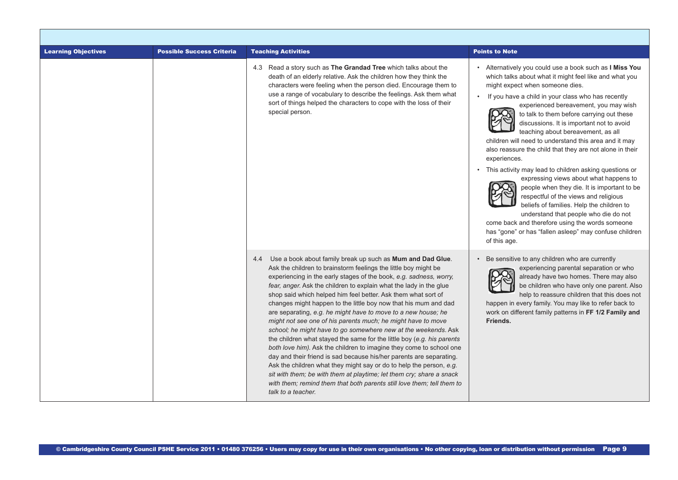| <b>Learning Objectives</b> | <b>Possible Success Criteria</b> | <b>Teaching Activities</b>                                                                                                                                                                                                                                                                                                                                                                                                                                                                                                                                                                                                                                                                                                                                                                                                                                                                                                                                                                                                                                                                     | <b>Points to Note</b>                                                                                                                                                                                                                                                                                                                                                                                                                                                                                                                                                                                                                                                                                                                                                                                                                                                                                                                   |
|----------------------------|----------------------------------|------------------------------------------------------------------------------------------------------------------------------------------------------------------------------------------------------------------------------------------------------------------------------------------------------------------------------------------------------------------------------------------------------------------------------------------------------------------------------------------------------------------------------------------------------------------------------------------------------------------------------------------------------------------------------------------------------------------------------------------------------------------------------------------------------------------------------------------------------------------------------------------------------------------------------------------------------------------------------------------------------------------------------------------------------------------------------------------------|-----------------------------------------------------------------------------------------------------------------------------------------------------------------------------------------------------------------------------------------------------------------------------------------------------------------------------------------------------------------------------------------------------------------------------------------------------------------------------------------------------------------------------------------------------------------------------------------------------------------------------------------------------------------------------------------------------------------------------------------------------------------------------------------------------------------------------------------------------------------------------------------------------------------------------------------|
|                            |                                  | 4.3 Read a story such as The Grandad Tree which talks about the<br>death of an elderly relative. Ask the children how they think the<br>characters were feeling when the person died. Encourage them to<br>use a range of vocabulary to describe the feelings. Ask them what<br>sort of things helped the characters to cope with the loss of their<br>special person.                                                                                                                                                                                                                                                                                                                                                                                                                                                                                                                                                                                                                                                                                                                         | Alternatively you could use a book such as I Miss You<br>which talks about what it might feel like and what you<br>might expect when someone dies.<br>If you have a child in your class who has recently<br>experienced bereavement, you may wish<br>to talk to them before carrying out these<br>discussions. It is important not to avoid<br>teaching about bereavement, as all<br>children will need to understand this area and it may<br>also reassure the child that they are not alone in their<br>experiences.<br>• This activity may lead to children asking questions or<br>expressing views about what happens to<br>people when they die. It is important to be<br>respectful of the views and religious<br>beliefs of families. Help the children to<br>understand that people who die do not<br>come back and therefore using the words someone<br>has "gone" or has "fallen asleep" may confuse children<br>of this age. |
|                            |                                  | Use a book about family break up such as Mum and Dad Glue.<br>4.4<br>Ask the children to brainstorm feelings the little boy might be<br>experiencing in the early stages of the book, e.g. sadness, worry,<br>fear, anger. Ask the children to explain what the lady in the glue<br>shop said which helped him feel better. Ask them what sort of<br>changes might happen to the little boy now that his mum and dad<br>are separating, e.g. he might have to move to a new house; he<br>might not see one of his parents much; he might have to move<br>school; he might have to go somewhere new at the weekends. Ask<br>the children what stayed the same for the little boy (e.g. his parents<br>both love him). Ask the children to imagine they come to school one<br>day and their friend is sad because his/her parents are separating.<br>Ask the children what they might say or do to help the person, e.g.<br>sit with them; be with them at playtime; let them cry; share a snack<br>with them; remind them that both parents still love them; tell them to<br>talk to a teacher. | Be sensitive to any children who are currently<br>experiencing parental separation or who<br>already have two homes. There may also<br>be children who have only one parent. Also<br>help to reassure children that this does not<br>happen in every family. You may like to refer back to<br>work on different family patterns in FF 1/2 Family and<br>Friends.                                                                                                                                                                                                                                                                                                                                                                                                                                                                                                                                                                        |

- F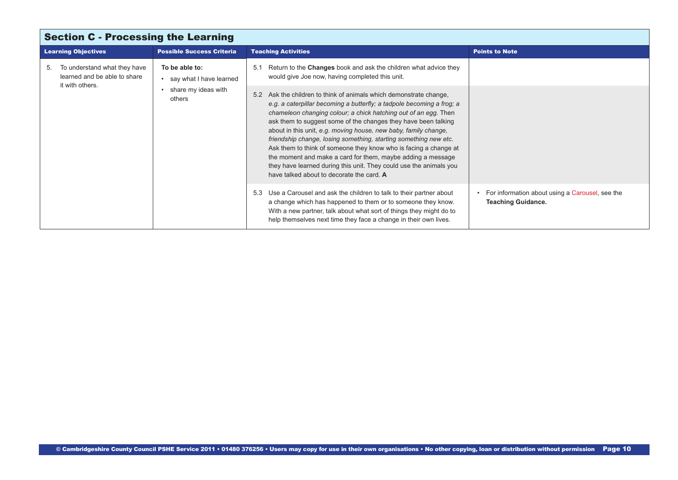<span id="page-9-0"></span>

| <b>Section C - Processing the Learning</b> |                                                                                                                                    |                                  |                                                                                                                                                                                                                                                                                                                                                                                                                                                                                                                                                                                                                                                                                  |                                                                              |
|--------------------------------------------|------------------------------------------------------------------------------------------------------------------------------------|----------------------------------|----------------------------------------------------------------------------------------------------------------------------------------------------------------------------------------------------------------------------------------------------------------------------------------------------------------------------------------------------------------------------------------------------------------------------------------------------------------------------------------------------------------------------------------------------------------------------------------------------------------------------------------------------------------------------------|------------------------------------------------------------------------------|
|                                            | <b>Learning Objectives</b>                                                                                                         | <b>Possible Success Criteria</b> | <b>Teaching Activities</b>                                                                                                                                                                                                                                                                                                                                                                                                                                                                                                                                                                                                                                                       | <b>Points to Note</b>                                                        |
| 5.                                         | To be able to:<br>To understand what they have<br>learned and be able to share<br>it with others.<br>share my ideas with<br>others | • say what I have learned        | Return to the Changes book and ask the children what advice they<br>5.1<br>would give Joe now, having completed this unit.                                                                                                                                                                                                                                                                                                                                                                                                                                                                                                                                                       |                                                                              |
|                                            |                                                                                                                                    |                                  | Ask the children to think of animals which demonstrate change,<br>5.2<br>e.g. a caterpillar becoming a butterfly; a tadpole becoming a frog; a<br>chameleon changing colour; a chick hatching out of an egg. Then<br>ask them to suggest some of the changes they have been talking<br>about in this unit, e.g. moving house, new baby, family change,<br>friendship change, losing something, starting something new etc.<br>Ask them to think of someone they know who is facing a change at<br>the moment and make a card for them, maybe adding a message<br>they have learned during this unit. They could use the animals you<br>have talked about to decorate the card. A |                                                                              |
|                                            |                                                                                                                                    |                                  | Use a Carousel and ask the children to talk to their partner about<br>5.3<br>a change which has happened to them or to someone they know.<br>With a new partner, talk about what sort of things they might do to<br>help themselves next time they face a change in their own lives.                                                                                                                                                                                                                                                                                                                                                                                             | For information about using a Carousel, see the<br><b>Teaching Guidance.</b> |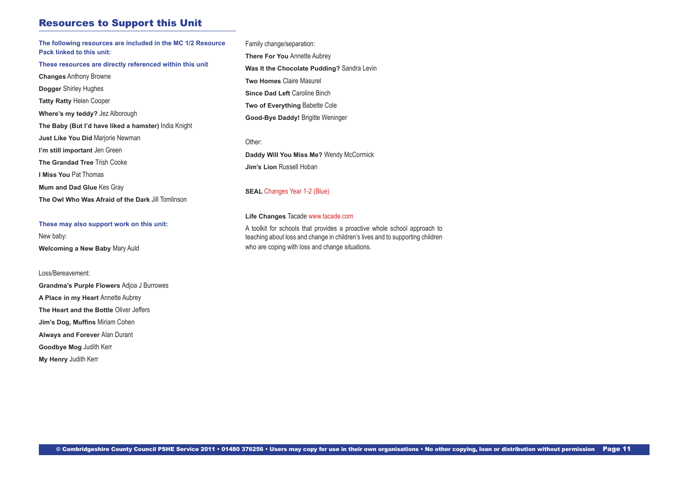## Resources to Support this Unit

**The following resources are included in the MC 1/2 Resource Pack linked to this unit: These resources are directly referenced within this unit Changes** Anthony Browne **Dogger** Shirley Hughes **Tatty Ratty** Helen Cooper **Where's my teddy?** Jez Alborough **The Baby (But I'd have liked a hamster)** India Knight **Just Like You Did** Marjorie Newman **I'm still important** Jen Green **The Grandad Tree** Trish Cooke **I Miss You** Pat Thomas **Mum and Dad Glue** Kes Gray **The Owl Who Was Afraid of the Dark** Jill Tomlinson

**These may also support work on this unit:** New baby: **Welcoming a New Baby** Mary Auld

#### Loss/Bereavement:

**Grandma's Purple Flowers** Adjoa J Burrowes **A Place in my Heart** Annette Aubrey **The Heart and the Bottle** Oliver Jeffers **Jim's Dog, Muffins** Miriam Cohen **Always and Forever** Alan Durant **Goodbye Mog** Judith Kerr **My Henry** Judith Kerr

Family change/separation: **There For You Annette Aubrey Was It the Chocolate Pudding?** Sandra Levin **Two Homes** Claire Masurel **Since Dad Left Caroline Binch Two of Everything** Babette Cole **Good-Bye Daddy!** Brigitte Weninger

Other: **Daddy Will You Miss Me?** Wendy McCormick **Jim's Lion** Russell Hoban

### **SEAL [Changes Year 1-2 \(Blue\)](http://www.j9solutions.co.uk/pshe/NDChangesY12.pdf)**

#### **Life Changes** Tacade [www.tacade.com](http://www.tacade.com)

A toolkit for schools that provides a proactive whole school approach to teaching about loss and change in children's lives and to supporting children who are coping with loss and change situations.